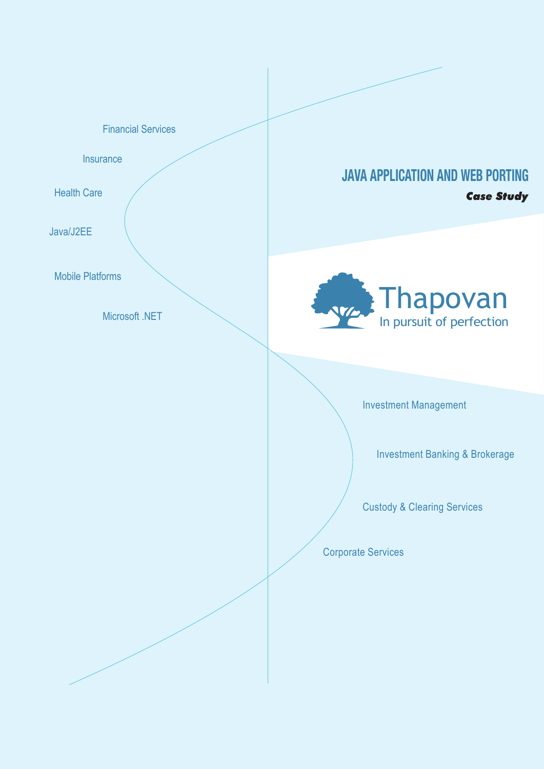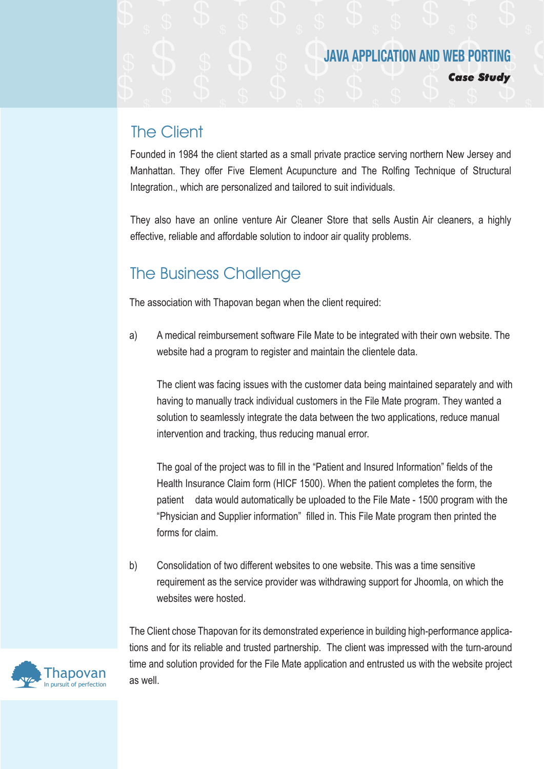*Case Study* **Major Technology Components:**

### The Client

Founded in 1984 the client started as a small private practice serving northern New Jersey and Manhattan. They offer Five Element Acupuncture and The Rolfing Technique of Structural Integration., which are personalized and tailored to suit individuals.

They also have an online venture Air Cleaner Store that sells Austin Air cleaners, a highly effective, reliable and affordable solution to indoor air quality problems.

### The Business Challenge

The association with Thapovan began when the client required:

a) A medical reimbursement software File Mate to be integrated with their own website. The website had a program to register and maintain the clientele data.

 The client was facing issues with the customer data being maintained separately and with having to manually track individual customers in the File Mate program. They wanted a solution to seamlessly integrate the data between the two applications, reduce manual intervention and tracking, thus reducing manual error.

 The goal of the project was to fill in the "Patient and Insured Information" fields of the Health Insurance Claim form (HICF 1500). When the patient completes the form, the patient data would automatically be uploaded to the File Mate - 1500 program with the "Physician and Supplier information" filled in. This File Mate program then printed the forms for claim.

b) Consolidation of two different websites to one website. This was a time sensitive requirement as the service provider was withdrawing support for Jhoomla, on which the websites were hosted.

The Client chose Thapovan for its demonstrated experience in building high-performance applications and for its reliable and trusted partnership. The client was impressed with the turn-around time and solution provided for the File Mate application and entrusted us with the website project as well.

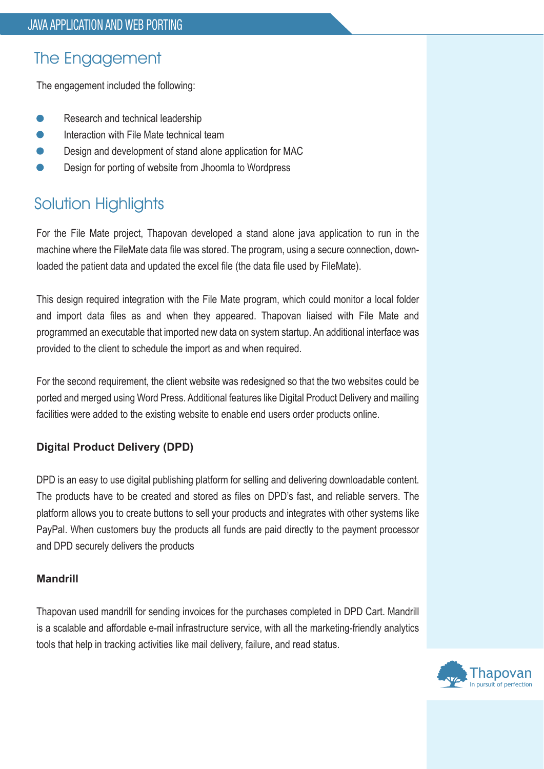# The Engagement

The engagement included the following:

- Research and technical leadership
- Interaction with File Mate technical team
- Design and development of stand alone application for MAC
- Design for porting of website from Jhoomla to Wordpress

# Solution Highlights

For the File Mate project, Thapovan developed a stand alone java application to run in the machine where the FileMate data file was stored. The program, using a secure connection, downloaded the patient data and updated the excel file (the data file used by FileMate).

This design required integration with the File Mate program, which could monitor a local folder and import data files as and when they appeared. Thapovan liaised with File Mate and programmed an executable that imported new data on system startup. An additional interface was provided to the client to schedule the import as and when required.

For the second requirement, the client website was redesigned so that the two websites could be ported and merged using Word Press. Additional features like Digital Product Delivery and mailing facilities were added to the existing website to enable end users order products online.

### **Digital Product Delivery (DPD)**

DPD is an easy to use digital publishing platform for selling and delivering downloadable content. The products have to be created and stored as files on DPD's fast, and reliable servers. The platform allows you to create buttons to sell your products and integrates with other systems like PayPal. When customers buy the products all funds are paid directly to the payment processor and DPD securely delivers the products

#### **Mandrill**

Thapovan used mandrill for sending invoices for the purchases completed in DPD Cart. Mandrill is a scalable and affordable e-mail infrastructure service, with all the marketing-friendly analytics tools that help in tracking activities like mail delivery, failure, and read status.